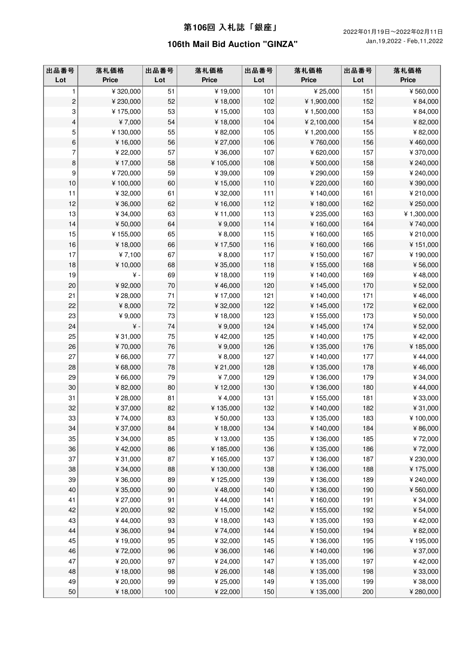| 出品番号<br>Lot             | 落札価格<br><b>Price</b> | 出品番号<br>Lot | 落札価格<br><b>Price</b> | 出品番号<br>Lot | 落札価格<br><b>Price</b> | 出品番号<br>Lot | 落札価格<br><b>Price</b> |
|-------------------------|----------------------|-------------|----------------------|-------------|----------------------|-------------|----------------------|
| 1                       | ¥320,000             | 51          | $\bar{*}$ 19,000     | 101         | ¥ 25,000             | 151         | ¥560,000             |
| $\overline{c}$          | ¥230,000             | 52          | ¥18,000              | 102         | ¥1,900,000           | 152         | ¥84,000              |
| 3                       | ¥175,000             | 53          | ¥15,000              | 103         | ¥1,500,000           | 153         | ¥84,000              |
| $\overline{\mathbf{4}}$ | ¥7,000               | 54          | ¥18,000              | 104         | ¥ 2,100,000          | 154         | ¥82,000              |
| 5                       | ¥130,000             | 55          | ¥82,000              | 105         | ¥1,200,000           | 155         | ¥82,000              |
| 6                       | ¥16,000              | 56          | ¥ 27,000             | 106         | ¥760,000             | 156         | ¥460,000             |
| 7                       | ¥ 22,000             | 57          | ¥36,000              | 107         | ¥620,000             | 157         | ¥370,000             |
| 8                       | ¥17,000              | 58          | ¥105,000             | 108         | ¥500,000             | 158         | ¥ 240,000            |
| 9                       | ¥720,000             | 59          | ¥39,000              | 109         | ¥290,000             | 159         | ¥240,000             |
| $10$                    | ¥100,000             | 60          | ¥15,000              | 110         | ¥ 220,000            | 160         | ¥ 390,000            |
| 11                      | ¥32,000              | 61          | ¥32,000              | 111         | ¥140,000             | 161         | ¥210,000             |
| 12                      | ¥36,000              | 62          | ¥16,000              | 112         | ¥180,000             | 162         | ¥ 250,000            |
| 13                      | ¥34,000              | 63          | ¥11,000              | 113         | ¥ 235,000            | 163         | ¥1,300,000           |
| 14                      | ¥50,000              | 64          | ¥9,000               | 114         | ¥160,000             | 164         | ¥740,000             |
| 15                      | ¥155,000             | 65          | ¥ 8,000              | 115         | ¥160,000             | 165         | ¥210,000             |
| 16                      | ¥18,000              | 66          | ¥17,500              | 116         | ¥160,000             | 166         | ¥151,000             |
| 17                      | ¥7,100               | 67          | ¥ 8,000              | 117         | ¥150,000             | 167         | ¥190,000             |
| 18                      | ¥10,000              | 68          | ¥ 35,000             | 118         | ¥155,000             | 168         | ¥56,000              |
| 19                      | ¥-                   | 69          | ¥18,000              | 119         | ¥140,000             | 169         | ¥48,000              |
| 20                      | ¥92,000              | 70          | ¥46,000              | 120         | ¥145,000             | 170         | ¥52,000              |
| 21                      | ¥28,000              | 71          | ¥17,000              | 121         | ¥140,000             | 171         | ¥46,000              |
| 22                      | ¥ 8,000              | 72          | ¥32,000              | 122         | ¥145,000             | 172         | ¥62,000              |
| 23                      | ¥9,000               | 73          | ¥18,000              | 123         | ¥155,000             | 173         | ¥50,000              |
| 24                      | ¥ -                  | 74          | ¥9,000               | 124         | ¥145,000             | 174         | ¥52,000              |
| 25                      | ¥31,000              | 75          | ¥42,000              | 125         | ¥140,000             | 175         | ¥42,000              |
| 26                      | ¥70,000              | 76          | ¥9,000               | 126         | ¥135,000             | 176         | ¥185,000             |
| 27                      | ¥66,000              | 77          | ¥ 8,000              | 127         | ¥140,000             | 177         | ¥44,000              |
| 28                      | ¥68,000              | 78          | ¥ 21,000             | 128         | ¥135,000             | 178         | ¥46,000              |
| 29                      | ¥66,000              | 79          | ¥7,000               | 129         | ¥136,000             | 179         | ¥ 34,000             |
| 30                      | ¥82,000              | 80          | ¥12,000              | 130         | ¥136,000             | 180         | ¥44,000              |
| 31                      | ¥28,000              | 81          | ¥4,000               | 131         | ¥155,000             | 181         | ¥33,000              |
| 32                      | ¥37,000              | 82          | ¥135,000             | 132         | ¥140,000             | 182         | ¥31,000              |
| 33                      | ¥ $74,000$           | 83          | ¥50,000              | 133         | ¥135,000             | 183         | ¥100,000             |
| 34                      | ¥37,000              | 84          | ¥18,000              | 134         | ¥140,000             | 184         | ¥86,000              |
| 35                      | ¥34,000              | 85          | ¥13,000              | 135         | ¥136,000             | 185         | ¥72,000              |
| $36\,$                  | ¥42,000              | 86          | ¥185,000             | 136         | ¥135,000             | 186         | ¥72,000              |
| 37                      | ¥31,000              | 87          | ¥165,000             | 137         | ¥136,000             | 187         | ¥ 230,000            |
| $38\,$                  | ¥34,000              | 88          | ¥130,000             | 138         | ¥136,000             | 188         | ¥175,000             |
| 39                      | ¥36,000              | 89          | ¥125,000             | 139         | ¥136,000             | 189         | ¥240,000             |
| $40\,$                  | ¥35,000              | 90          | ¥48,000              | 140         | ¥136,000             | 190         | ¥560,000             |
| 41                      | ¥ 27,000             | 91          | ¥44,000              | 141         | ¥160,000             | 191         | ¥ 34,000             |
| 42                      | ¥ 20,000             | 92          | ¥15,000              | 142         | ¥155,000             | 192         | ¥ 54,000             |
| 43                      | ¥44,000              | 93          | ¥18,000              | 143         | ¥135,000             | 193         | ¥42,000              |
| 44                      | ¥36,000              | 94          | ¥74,000              | 144         | ¥150,000             | 194         | ¥82,000              |
| 45                      | ¥19,000              | 95          | ¥32,000              | 145         | ¥136,000             | 195         | ¥195,000             |
| ${\bf 46}$              | ¥72,000              | 96          | ¥36,000              | 146         | ¥140,000             | 196         | ¥ 37,000             |
| 47                      | ¥ 20,000             | 97          | ¥ 24,000             | 147         | ¥135,000             | 197         | ¥42,000              |
| 48                      | ¥18,000              | 98          | ¥26,000              | 148         | ¥135,000             | 198         | ¥33,000              |
| 49                      | ¥ 20,000             | 99          | ¥ 25,000             | 149         | ¥135,000             | 199         | ¥38,000              |
| $50\,$                  | ¥18,000              | 100         | ¥ 22,000             | 150         | ¥135,000             | 200         | ¥ 280,000            |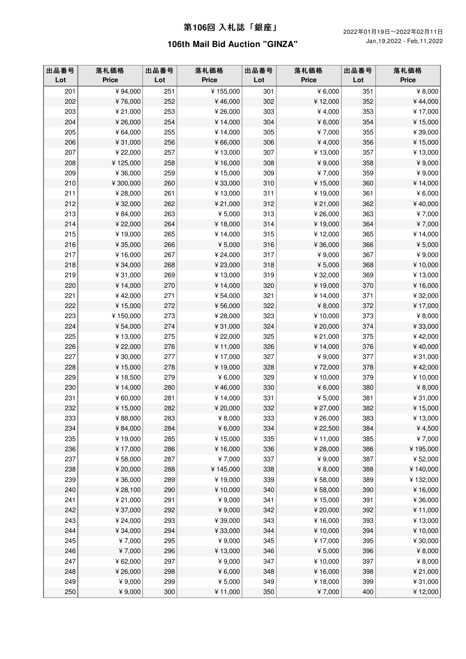| 出品番号<br>Lot | 落札価格<br>Price | 出品番号<br>Lot | 落札価格<br><b>Price</b> | 出品番号<br>Lot | 落札価格<br><b>Price</b> | 出品番号<br>Lot | 落札価格<br><b>Price</b> |
|-------------|---------------|-------------|----------------------|-------------|----------------------|-------------|----------------------|
| 201         | ¥94,000       | 251         | ¥155,000             | 301         | ¥ $6,000$            | 351         | ¥ 8,000              |
| 202         | ¥76,000       | 252         | ¥46,000              | 302         | ¥12,000              | 352         | ¥44,000              |
| 203         | ¥ 21,000      | 253         | ¥26,000              | 303         | ¥4,000               | 353         | ¥17,000              |
| 204         | ¥ 26,000      | 254         | ¥14,000              | 304         | ¥6,000               | 354         | ¥15,000              |
| 205         | ¥64,000       | 255         | ¥14,000              | 305         | ¥7,000               | 355         | ¥39,000              |
| 206         | ¥31,000       | 256         | ¥66,000              | 306         | ¥4,000               | 356         | ¥15,000              |
| 207         | ¥ 22,000      | 257         | ¥13,000              | 307         | ¥13,000              | 357         | ¥13,000              |
| 208         | ¥125,000      | 258         | ¥16,000              | 308         | ¥9,000               | 358         | ¥9,000               |
| 209         | ¥36,000       | 259         | ¥15,000              | 309         | ¥7,000               | 359         | ¥9,000               |
| 210         | ¥ 300,000     | 260         | ¥33,000              | 310         | ¥15,000              | 360         | ¥14,000              |
| 211         | ¥28,000       | 261         | ¥13,000              | 311         | ¥19,000              | 361         | ¥ 6,000              |
| 212         | ¥32,000       | 262         | ¥ 21,000             | 312         | ¥ 21,000             | 362         | ¥40,000              |
| 213         | ¥84,000       | 263         | ¥ $5,000$            | 313         | ¥26,000              | 363         | ¥7,000               |
| 214         | ¥ 22,000      | 264         | ¥18,000              | 314         | ¥19,000              | 364         | ¥7,000               |
| 215         | ¥19,000       | 265         | ¥14,000              | 315         | ¥12,000              | 365         | ¥14,000              |
| 216         | ¥ 35,000      | 266         | ¥ 5,000              | 316         | ¥36,000              | 366         | ¥ 5,000              |
| 217         | ¥16,000       | 267         | ¥ 24,000             | 317         | ¥9,000               | 367         | ¥9,000               |
| 218         | ¥ 34,000      | 268         | ¥ 23,000             | 318         | ¥ 5,000              | 368         | ¥10,000              |
| 219         | ¥31,000       | 269         | ¥13,000              | 319         | ¥32,000              | 369         | ¥13,000              |
| 220         | ¥14,000       | 270         | ¥14,000              | 320         | ¥19,000              | 370         | ¥16,000              |
| 221         | ¥42,000       | 271         | ¥ 54,000             | 321         | ¥14,000              | 371         | ¥32,000              |
| 222         | ¥15,000       | 272         | ¥56,000              | 322         | ¥ 8,000              | 372         | ¥17,000              |
| 223         | ¥150,000      | 273         | ¥28,000              | 323         | ¥10,000              | 373         | ¥ 8,000              |
| 224         | ¥ 54,000      | 274         | ¥31,000              | 324         | ¥ 20,000             | 374         | ¥33,000              |
| 225         | ¥13,000       | 275         | ¥ 22,000             | 325         | ¥ 21,000             | 375         | ¥42,000              |
| 226         | ¥ 22,000      | 276         | ¥11,000              | 326         | ¥14,000              | 376         | ¥40,000              |
| 227         | ¥30,000       | 277         | ¥17,000              | 327         | ¥9,000               | 377         | ¥31,000              |
| 228         | ¥15,000       | 278         | ¥19,000              | 328         | ¥72,000              | 378         | ¥42,000              |
| 229         | ¥18,500       | 279         | ¥ $6,000$            | 329         | ¥10,000              | 379         | ¥10,000              |
| 230         | ¥14,000       | 280         | ¥46,000              | 330         | ¥ 6,000              | 380         | ¥ 8,000              |
| 231         | ¥60,000       | 281         | ¥14,000              | 331         | ¥ 5,000              | 381         | ¥31,000              |
| 232         | ¥15,000       | 282         | ¥ 20,000             | 332         | ¥ 27,000             | 382         | ¥15,000              |
| 233         | ¥88,000       | 283         | ¥ 8,000              | 333         | ¥ 26,000             | 383         | ¥13,000              |
| 234         | ¥84,000       | 284         | ¥ 6,000              | 334         | ¥ 22,500             | 384         | ¥4,500               |
| 235         | ¥19,000       | 285         | ¥15,000              | 335         | ¥11,000              | 385         | ¥7,000               |
| 236         | ¥17,000       | 286         | ¥16,000              | 336         | ¥28,000              | 386         | ¥195,000             |
| 237         | ¥58,000       | 287         | ¥7,000               | 337         | ¥9,000               | 387         | ¥52,000              |
| 238         | ¥ 20,000      | 288         | ¥145,000             | 338         | ¥ 8,000              | 388         | ¥140,000             |
| 239         | ¥36,000       | 289         | ¥19,000              | 339         | ¥58,000              | 389         | ¥132,000             |
| 240         | ¥28,100       | 290         | ¥10,000              | 340         | ¥58,000              | 390         | ¥16,000              |
| 241         | ¥ 21,000      | 291         | ¥9,000               | 341         | ¥15,000              | 391         | ¥36,000              |
| 242         | ¥37,000       | 292         | ¥9,000               | 342         | ¥ 20,000             | 392         | ¥11,000              |
| 243         | ¥ 24,000      | 293         | ¥39,000              | 343         | ¥16,000              | 393         | ¥13,000              |
| 244         | ¥34,000       | 294         | ¥33,000              | 344         | ¥10,000              | 394         | ¥10,000              |
| 245         | ¥7,000        | 295         | ¥9,000               | 345         | ¥17,000              | 395         | ¥30,000              |
| 246         | ¥7,000        | 296         | ¥13,000              | 346         | ¥ 5,000              | 396         | ¥ 8,000              |
| 247         | ¥62,000       | 297         | ¥9,000               | 347         | ¥10,000              | 397         | ¥ 8,000              |
| 248         | ¥ 26,000      | 298         | ¥ 6,000              | 348         | ¥16,000              | 398         | ¥ 21,000             |
| 249         | ¥9,000        | 299         | ¥ 5,000              | 349         | ¥18,000              | 399         | ¥31,000              |
| 250         | ¥9,000        | 300         | ¥11,000              | 350         | ¥7,000               | 400         | ¥12,000              |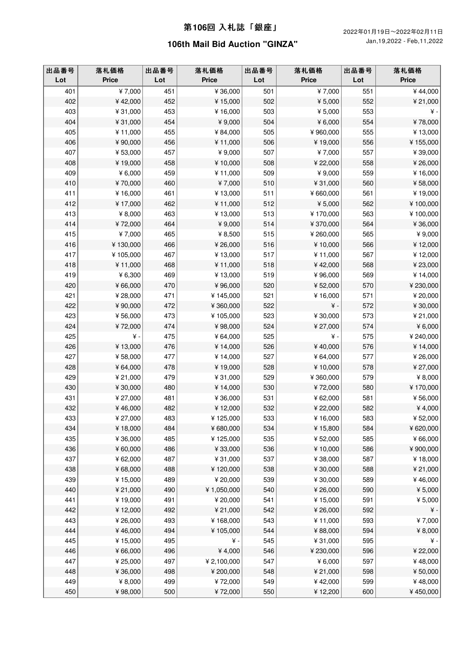| 出品番号<br>Lot | 落札価格<br><b>Price</b> | 出品番号<br>Lot | 落札価格<br><b>Price</b> | 出品番号<br>Lot | 落札価格<br><b>Price</b> | 出品番号<br>Lot | 落札価格<br><b>Price</b> |
|-------------|----------------------|-------------|----------------------|-------------|----------------------|-------------|----------------------|
| 401         | ¥7,000               | 451         | ¥36,000              | 501         | $\bar{*}$ 7,000      | 551         | ¥44,000              |
| 402         | ¥42,000              | 452         | ¥15,000              | 502         | ¥ 5,000              | 552         | ¥ 21,000             |
| 403         | ¥31,000              | 453         | ¥16,000              | 503         | ¥5,000               | 553         | $\angle$ +           |
| 404         | ¥31,000              | 454         | ¥9,000               | 504         | ¥ $6,000$            | 554         | ¥78,000              |
| 405         | ¥11,000              | 455         | ¥84,000              | 505         | ¥960,000             | 555         | ¥13,000              |
| 406         | ¥90,000              | 456         | ¥11,000              | 506         | ¥19,000              | 556         | ¥155,000             |
| 407         | ¥53,000              | 457         | ¥9,000               | 507         | ¥7,000               | 557         | ¥39,000              |
| 408         | ¥19,000              | 458         | ¥10,000              | 508         | ¥ 22,000             | 558         | ¥26,000              |
| 409         | ¥6,000               | 459         | ¥11,000              | 509         | ¥9,000               | 559         | ¥16,000              |
| 410         | ¥70,000              | 460         | ¥7,000               | 510         | ¥31,000              | 560         | ¥58,000              |
| 411         | ¥16,000              | 461         | ¥13,000              | 511         | ¥660,000             | 561         | ¥19,000              |
| 412         | ¥17,000              | 462         | ¥11,000              | 512         | ¥ 5,000              | 562         | ¥100,000             |
| 413         | ¥ 8,000              | 463         | ¥13,000              | 513         | ¥170,000             | 563         | ¥100,000             |
| 414         | ¥72,000              | 464         | ¥9,000               | 514         | ¥370,000             | 564         | ¥36,000              |
| 415         | ¥7,000               | 465         | ¥ 8,500              | 515         | ¥260,000             | 565         | ¥9,000               |
| 416         | ¥130,000             | 466         | ¥26,000              | 516         | ¥10,000              | 566         | ¥12,000              |
| 417         | ¥105,000             | 467         | ¥13,000              | 517         | ¥11,000              | 567         | ¥12,000              |
| 418         | ¥11,000              | 468         | ¥11,000              | 518         | ¥42,000              | 568         | ¥23,000              |
| 419         | ¥6,300               | 469         | ¥13,000              | 519         | ¥96,000              | 569         | ¥14,000              |
| 420         | ¥66,000              | 470         | ¥96,000              | 520         | ¥52,000              | 570         | ¥ 230,000            |
| 421         | ¥ 28,000             | 471         | ¥145,000             | 521         | ¥16,000              | 571         | ¥ 20,000             |
| 422         | ¥90,000              | 472         | ¥360,000             | 522         | ¥ -                  | 572         | ¥30,000              |
| 423         | ¥56,000              | 473         | ¥105,000             | 523         | ¥30,000              | 573         | ¥ 21,000             |
| 424         | ¥72,000              | 474         | ¥98,000              | 524         | ¥27,000              | 574         | ¥ $6,000$            |
| 425         | $\angle$ +           | 475         | ¥64,000              | 525         | ¥ -                  | 575         | ¥240,000             |
| 426         | ¥13,000              | 476         | ¥14,000              | 526         | ¥40,000              | 576         | ¥14,000              |
| 427         | ¥58,000              | 477         | ¥14,000              | 527         | ¥64,000              | 577         | ¥26,000              |
| 428         | ¥64,000              | 478         | ¥19,000              | 528         | ¥10,000              | 578         | ¥ 27,000             |
| 429         | ¥ 21,000             | 479         | ¥31,000              | 529         | ¥360,000             | 579         | ¥ 8,000              |
| 430         | ¥30,000              | 480         | ¥14,000              | 530         | ¥72,000              | 580         | ¥170,000             |
| 431         | ¥ 27,000             | 481         | ¥36,000              | 531         | ¥62,000              | 581         | ¥56,000              |
| 432         | ¥46,000              | 482         | ¥12,000              | 532         | ¥ 22,000             | 582         | ¥4,000               |
| 433         | ¥ 27,000             | 483         | ¥125,000             | 533         | ¥16,000              | 583         | ¥52,000              |
| 434         | ¥18,000              | 484         | ¥680,000             | 534         | ¥15,800              | 584         | ¥620,000             |
| 435         | ¥36,000              | 485         | ¥125,000             | 535         | ¥52,000              | 585         | ¥66,000              |
| 436         | ¥60,000              | 486         | ¥33,000              | 536         | ¥10,000              | 586         | ¥900,000             |
| 437         | ¥62,000              | 487         | ¥31,000              | 537         | ¥38,000              | 587         | ¥18,000              |
| 438         | ¥68,000              | 488         | ¥120,000             | 538         | ¥30,000              | 588         | ¥ 21,000             |
| 439         | ¥15,000              | 489         | ¥ 20,000             | 539         | ¥30,000              | 589         | ¥46,000              |
| 440         | ¥ 21,000             | 490         | ¥1,050,000           | 540         | ¥26,000              | 590         | ¥ 5,000              |
| 441         | ¥19,000              | 491         | ¥ 20,000             | 541         | ¥15,000              | 591         | ¥5,000               |
| 442         | ¥12,000              | 492         | ¥ 21,000             | 542         | ¥26,000              | 592         | $\yen$ -             |
| 443         | ¥ 26,000             | 493         | ¥168,000             | 543         | ¥11,000              | 593         | ¥7,000               |
| 444         | ¥46,000              | 494         | ¥105,000             | 544         | ¥88,000              | 594         | ¥ 8,000              |
| 445         | ¥15,000              | 495         | ¥ -                  | 545         | ¥31,000              | 595         | ¥ -                  |
| 446         | ¥66,000              | 496         | ¥4,000               | 546         | ¥ 230,000            | 596         | ¥22,000              |
| 447         | ¥ 25,000             | 497         | ¥ 2,100,000          | 547         | ¥6,000               | 597         | ¥48,000              |
| 448         | ¥36,000              | 498         | ¥ 200,000            | 548         | ¥ 21,000             | 598         | ¥50,000              |
| 449         | ¥ 8,000              | 499         | ¥72,000              | 549         | ¥42,000              | 599         | ¥48,000              |
| 450         | ¥98,000              | 500         | ¥72,000              | 550         | ¥12,200              | 600         | ¥450,000             |